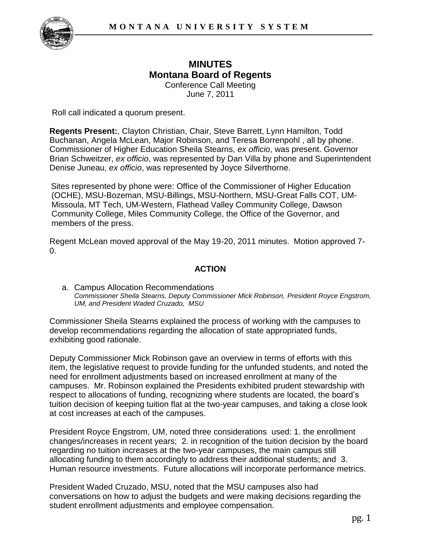

## **MINUTES Montana Board of Regents**  Conference Call Meeting

June 7, 2011

Roll call indicated a quorum present.

**Regents Present:**, Clayton Christian, Chair, Steve Barrett, Lynn Hamilton, Todd Buchanan, Angela McLean, Major Robinson, and Teresa Borrenpohl , all by phone. Commissioner of Higher Education Sheila Stearns, *ex officio*, was present. Governor Brian Schweitzer, *ex officio*, was represented by Dan Villa by phone and Superintendent Denise Juneau, *ex officio*, was represented by Joyce Silverthorne.

Sites represented by phone were: Office of the Commissioner of Higher Education (OCHE), MSU-Bozeman, MSU-Billings, MSU-Northern, MSU-Great Falls COT, UM-Missoula, MT Tech, UM-Western, Flathead Valley Community College, Dawson Community College, Miles Community College, the Office of the Governor, and members of the press.

Regent McLean moved approval of the May 19-20, 2011 minutes. Motion approved 7-  $\Omega$ .

# **ACTION**

a. Campus Allocation Recommendations *Commissioner Sheila Stearns, Deputy Commissioner Mick Robinson, President Royce Engstrom, UM, and President Waded Cruzado, MSU*

Commissioner Sheila Stearns explained the process of working with the campuses to develop recommendations regarding the allocation of state appropriated funds, exhibiting good rationale.

Deputy Commissioner Mick Robinson gave an overview in terms of efforts with this item, the legislative request to provide funding for the unfunded students, and noted the need for enrollment adjustments based on increased enrollment at many of the campuses. Mr. Robinson explained the Presidents exhibited prudent stewardship with respect to allocations of funding, recognizing where students are located, the board's tuition decision of keeping tuition flat at the two-year campuses, and taking a close look at cost increases at each of the campuses.

President Royce Engstrom, UM, noted three considerations used: 1. the enrollment changes/increases in recent years; 2. in recognition of the tuition decision by the board regarding no tuition increases at the two-year campuses, the main campus still allocating funding to them accordingly to address their additional students; and 3. Human resource investments. Future allocations will incorporate performance metrics.

President Waded Cruzado, MSU, noted that the MSU campuses also had conversations on how to adjust the budgets and were making decisions regarding the student enrollment adjustments and employee compensation.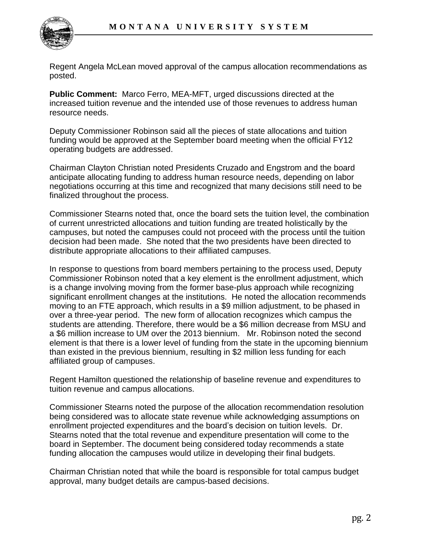

Regent Angela McLean moved approval of the campus allocation recommendations as posted.

**Public Comment:** Marco Ferro, MEA-MFT, urged discussions directed at the increased tuition revenue and the intended use of those revenues to address human resource needs.

Deputy Commissioner Robinson said all the pieces of state allocations and tuition funding would be approved at the September board meeting when the official FY12 operating budgets are addressed.

Chairman Clayton Christian noted Presidents Cruzado and Engstrom and the board anticipate allocating funding to address human resource needs, depending on labor negotiations occurring at this time and recognized that many decisions still need to be finalized throughout the process.

Commissioner Stearns noted that, once the board sets the tuition level, the combination of current unrestricted allocations and tuition funding are treated holistically by the campuses, but noted the campuses could not proceed with the process until the tuition decision had been made. She noted that the two presidents have been directed to distribute appropriate allocations to their affiliated campuses.

In response to questions from board members pertaining to the process used, Deputy Commissioner Robinson noted that a key element is the enrollment adjustment, which is a change involving moving from the former base-plus approach while recognizing significant enrollment changes at the institutions. He noted the allocation recommends moving to an FTE approach, which results in a \$9 million adjustment, to be phased in over a three-year period. The new form of allocation recognizes which campus the students are attending. Therefore, there would be a \$6 million decrease from MSU and a \$6 million increase to UM over the 2013 biennium. Mr. Robinson noted the second element is that there is a lower level of funding from the state in the upcoming biennium than existed in the previous biennium, resulting in \$2 million less funding for each affiliated group of campuses.

Regent Hamilton questioned the relationship of baseline revenue and expenditures to tuition revenue and campus allocations.

Commissioner Stearns noted the purpose of the allocation recommendation resolution being considered was to allocate state revenue while acknowledging assumptions on enrollment projected expenditures and the board's decision on tuition levels. Dr. Stearns noted that the total revenue and expenditure presentation will come to the board in September. The document being considered today recommends a state funding allocation the campuses would utilize in developing their final budgets.

Chairman Christian noted that while the board is responsible for total campus budget approval, many budget details are campus-based decisions.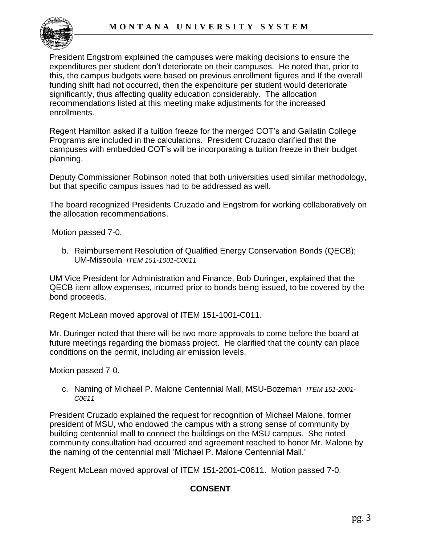

President Engstrom explained the campuses were making decisions to ensure the expenditures per student don't deteriorate on their campuses. He noted that, prior to this, the campus budgets were based on previous enrollment figures and If the overall funding shift had not occurred, then the expenditure per student would deteriorate significantly, thus affecting quality education considerably. The allocation recommendations listed at this meeting make adjustments for the increased enrollments.

Regent Hamilton asked if a tuition freeze for the merged COT's and Gallatin College Programs are included in the calculations. President Cruzado clarified that the campuses with embedded COT's will be incorporating a tuition freeze in their budget planning.

Deputy Commissioner Robinson noted that both universities used similar methodology, but that specific campus issues had to be addressed as well.

The board recognized Presidents Cruzado and Engstrom for working collaboratively on the allocation recommendations.

Motion passed 7-0.

b. Reimbursement Resolution of Qualified Energy Conservation Bonds (QECB); UM-Missoula *ITEM 151-1001-C0611*

UM Vice President for Administration and Finance, Bob Duringer, explained that the QECB item allow expenses, incurred prior to bonds being issued, to be covered by the bond proceeds.

Regent McLean moved approval of ITEM 151-1001-C011.

Mr. Duringer noted that there will be two more approvals to come before the board at future meetings regarding the biomass project. He clarified that the county can place conditions on the permit, including air emission levels.

Motion passed 7-0.

c. Naming of Michael P. Malone Centennial Mall, MSU-Bozeman *ITEM 151-2001- C0611* 

President Cruzado explained the request for recognition of Michael Malone, former president of MSU, who endowed the campus with a strong sense of community by building centennial mall to connect the buildings on the MSU campus. She noted community consultation had occurred and agreement reached to honor Mr. Malone by the naming of the centennial mall 'Michael P. Malone Centennial Mall.'

Regent McLean moved approval of ITEM 151-2001-C0611. Motion passed 7-0.

# **CONSENT**